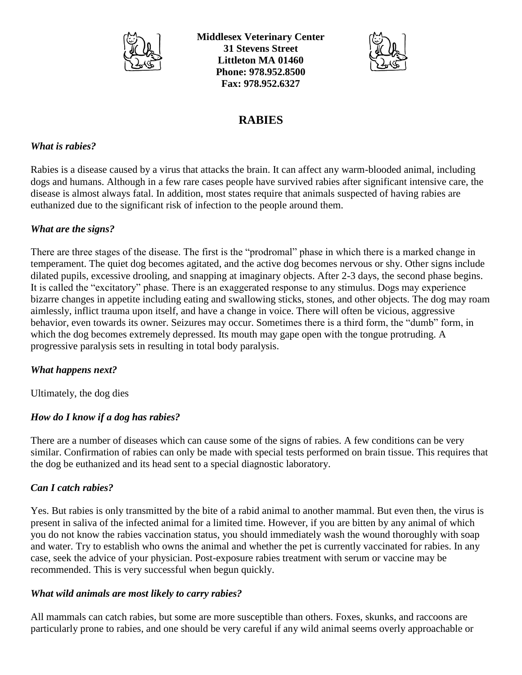

**Middlesex Veterinary Center 31 Stevens Street Littleton MA 01460 Phone: 978.952.8500 Fax: 978.952.6327**



# **RABIES**

### *What is rabies?*

Rabies is a disease caused by a virus that attacks the brain. It can affect any warm-blooded animal, including dogs and humans. Although in a few rare cases people have survived rabies after significant intensive care, the disease is almost always fatal. In addition, most states require that animals suspected of having rabies are euthanized due to the significant risk of infection to the people around them.

## *What are the signs?*

There are three stages of the disease. The first is the "prodromal" phase in which there is a marked change in temperament. The quiet dog becomes agitated, and the active dog becomes nervous or shy. Other signs include dilated pupils, excessive drooling, and snapping at imaginary objects. After 2-3 days, the second phase begins. It is called the "excitatory" phase. There is an exaggerated response to any stimulus. Dogs may experience bizarre changes in appetite including eating and swallowing sticks, stones, and other objects. The dog may roam aimlessly, inflict trauma upon itself, and have a change in voice. There will often be vicious, aggressive behavior, even towards its owner. Seizures may occur. Sometimes there is a third form, the "dumb" form, in which the dog becomes extremely depressed. Its mouth may gape open with the tongue protruding. A progressive paralysis sets in resulting in total body paralysis.

#### *What happens next?*

Ultimately, the dog dies

## *How do I know if a dog has rabies?*

There are a number of diseases which can cause some of the signs of rabies. A few conditions can be very similar. Confirmation of rabies can only be made with special tests performed on brain tissue. This requires that the dog be euthanized and its head sent to a special diagnostic laboratory.

## *Can I catch rabies?*

Yes. But rabies is only transmitted by the bite of a rabid animal to another mammal. But even then, the virus is present in saliva of the infected animal for a limited time. However, if you are bitten by any animal of which you do not know the rabies vaccination status, you should immediately wash the wound thoroughly with soap and water. Try to establish who owns the animal and whether the pet is currently vaccinated for rabies. In any case, seek the advice of your physician. Post-exposure rabies treatment with serum or vaccine may be recommended. This is very successful when begun quickly.

#### *What wild animals are most likely to carry rabies?*

All mammals can catch rabies, but some are more susceptible than others. Foxes, skunks, and raccoons are particularly prone to rabies, and one should be very careful if any wild animal seems overly approachable or